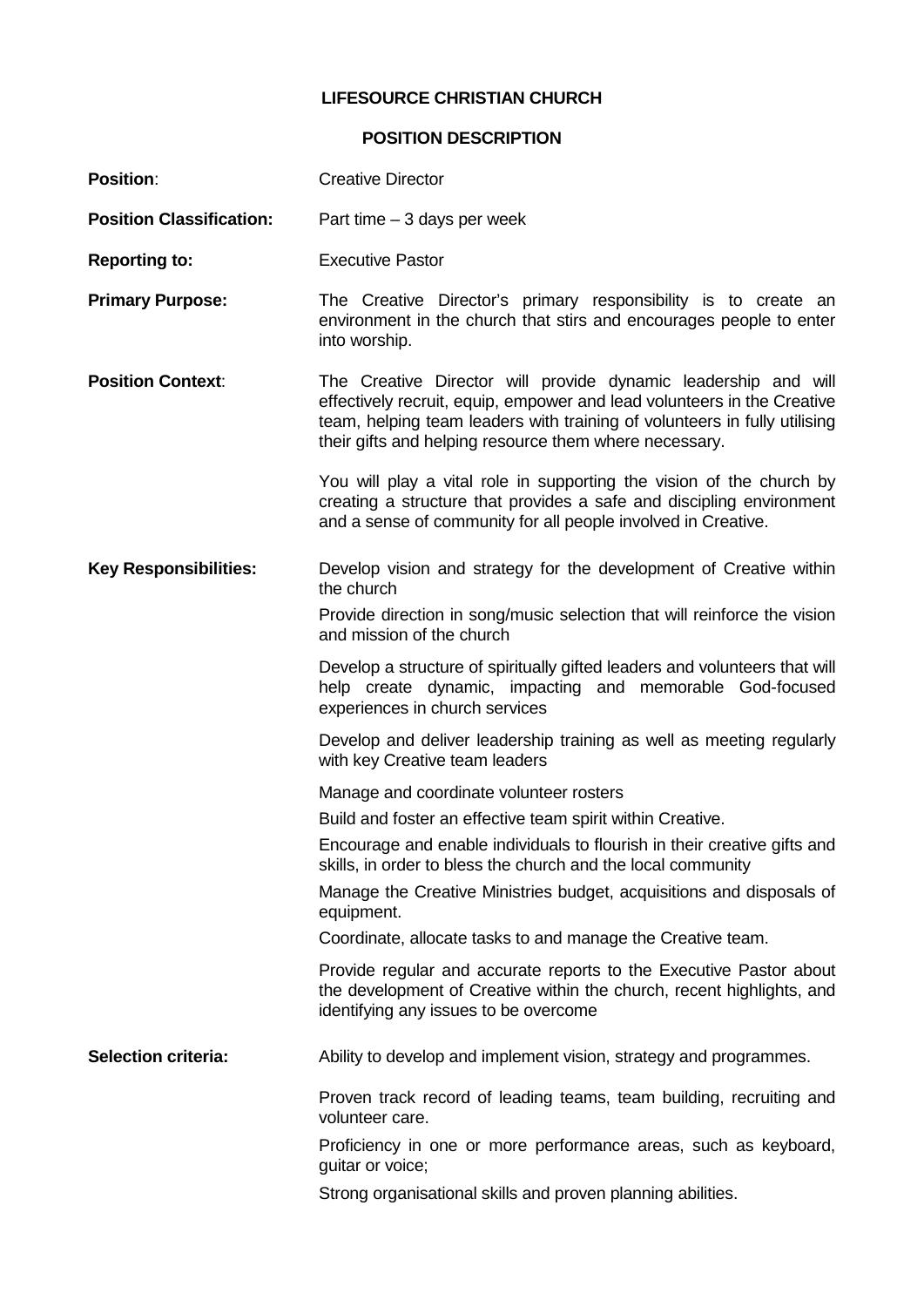## **LIFESOURCE CHRISTIAN CHURCH**

## **POSITION DESCRIPTION**

| <b>Position:</b>                | <b>Creative Director</b>                                                                                                                                                                                                                                                         |
|---------------------------------|----------------------------------------------------------------------------------------------------------------------------------------------------------------------------------------------------------------------------------------------------------------------------------|
| <b>Position Classification:</b> | Part time $-3$ days per week                                                                                                                                                                                                                                                     |
| <b>Reporting to:</b>            | <b>Executive Pastor</b>                                                                                                                                                                                                                                                          |
| <b>Primary Purpose:</b>         | The Creative Director's primary responsibility is to create an<br>environment in the church that stirs and encourages people to enter<br>into worship.                                                                                                                           |
| <b>Position Context:</b>        | The Creative Director will provide dynamic leadership and will<br>effectively recruit, equip, empower and lead volunteers in the Creative<br>team, helping team leaders with training of volunteers in fully utilising<br>their gifts and helping resource them where necessary. |
|                                 | You will play a vital role in supporting the vision of the church by<br>creating a structure that provides a safe and discipling environment<br>and a sense of community for all people involved in Creative.                                                                    |
| <b>Key Responsibilities:</b>    | Develop vision and strategy for the development of Creative within<br>the church                                                                                                                                                                                                 |
|                                 | Provide direction in song/music selection that will reinforce the vision<br>and mission of the church                                                                                                                                                                            |
|                                 | Develop a structure of spiritually gifted leaders and volunteers that will<br>help create dynamic, impacting and memorable God-focused<br>experiences in church services                                                                                                         |
|                                 | Develop and deliver leadership training as well as meeting regularly<br>with key Creative team leaders                                                                                                                                                                           |
|                                 | Manage and coordinate volunteer rosters                                                                                                                                                                                                                                          |
|                                 | Build and foster an effective team spirit within Creative.                                                                                                                                                                                                                       |
|                                 | Encourage and enable individuals to flourish in their creative gifts and<br>skills, in order to bless the church and the local community                                                                                                                                         |
|                                 | Manage the Creative Ministries budget, acquisitions and disposals of<br>equipment.                                                                                                                                                                                               |
|                                 | Coordinate, allocate tasks to and manage the Creative team.                                                                                                                                                                                                                      |
|                                 | Provide regular and accurate reports to the Executive Pastor about<br>the development of Creative within the church, recent highlights, and<br>identifying any issues to be overcome                                                                                             |
| <b>Selection criteria:</b>      | Ability to develop and implement vision, strategy and programmes.                                                                                                                                                                                                                |
|                                 | Proven track record of leading teams, team building, recruiting and<br>volunteer care.                                                                                                                                                                                           |
|                                 | Proficiency in one or more performance areas, such as keyboard,<br>guitar or voice;                                                                                                                                                                                              |
|                                 | Strong organisational skills and proven planning abilities.                                                                                                                                                                                                                      |